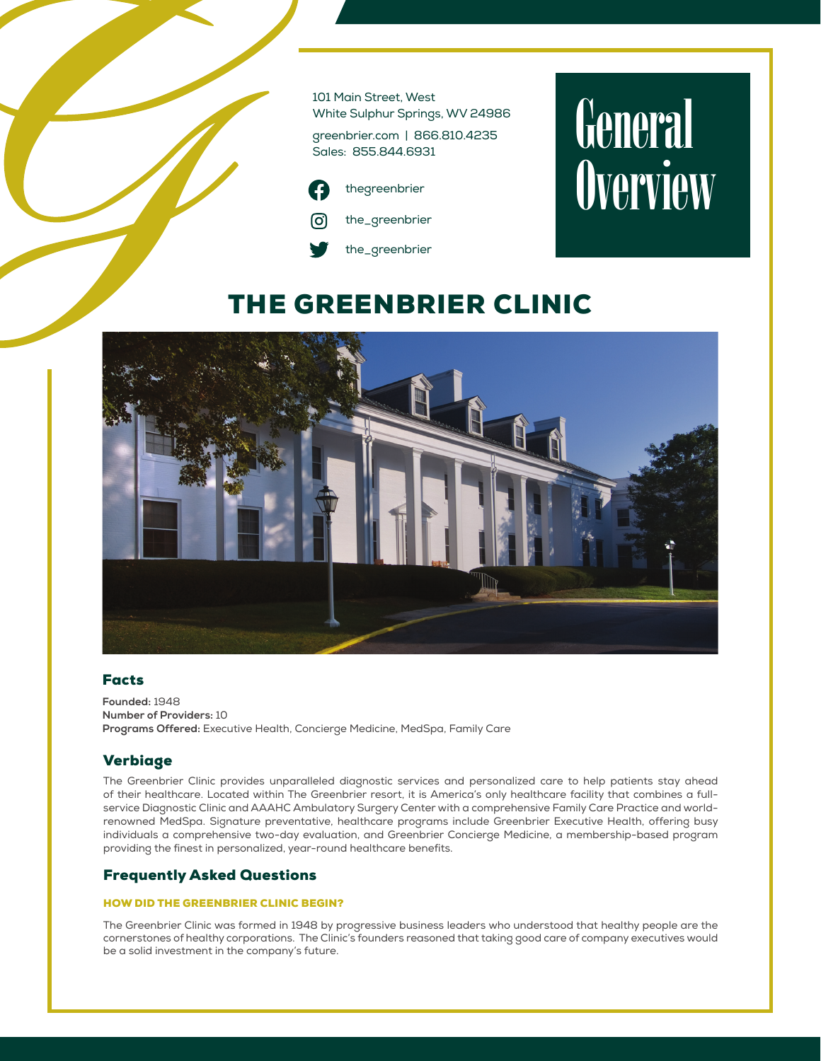101 Main Street, West White Sulphur Springs, WV 24986

greenbrier.com | 866.810.4235 Sales: 855.844.6931



# General **Overview**

# THE GREENBRIER CLINIC



# Facts

**Founded:** 1948 **Number of Providers:** 10 **Programs Offered:** Executive Health, Concierge Medicine, MedSpa, Family Care

# Verbiage

The Greenbrier Clinic provides unparalleled diagnostic services and personalized care to help patients stay ahead of their healthcare. Located within The Greenbrier resort, it is America's only healthcare facility that combines a fullservice Diagnostic Clinic and AAAHC Ambulatory Surgery Center with a comprehensive Family Care Practice and worldrenowned MedSpa. Signature preventative, healthcare programs include Greenbrier Executive Health, offering busy individuals a comprehensive two-day evaluation, and Greenbrier Concierge Medicine, a membership-based program providing the finest in personalized, year-round healthcare benefits.

# Frequently Asked Questions

#### HOW DID THE GREENBRIER CLINIC BEGIN?

The Greenbrier Clinic was formed in 1948 by progressive business leaders who understood that healthy people are the cornerstones of healthy corporations. The Clinic's founders reasoned that taking good care of company executives would be a solid investment in the company's future.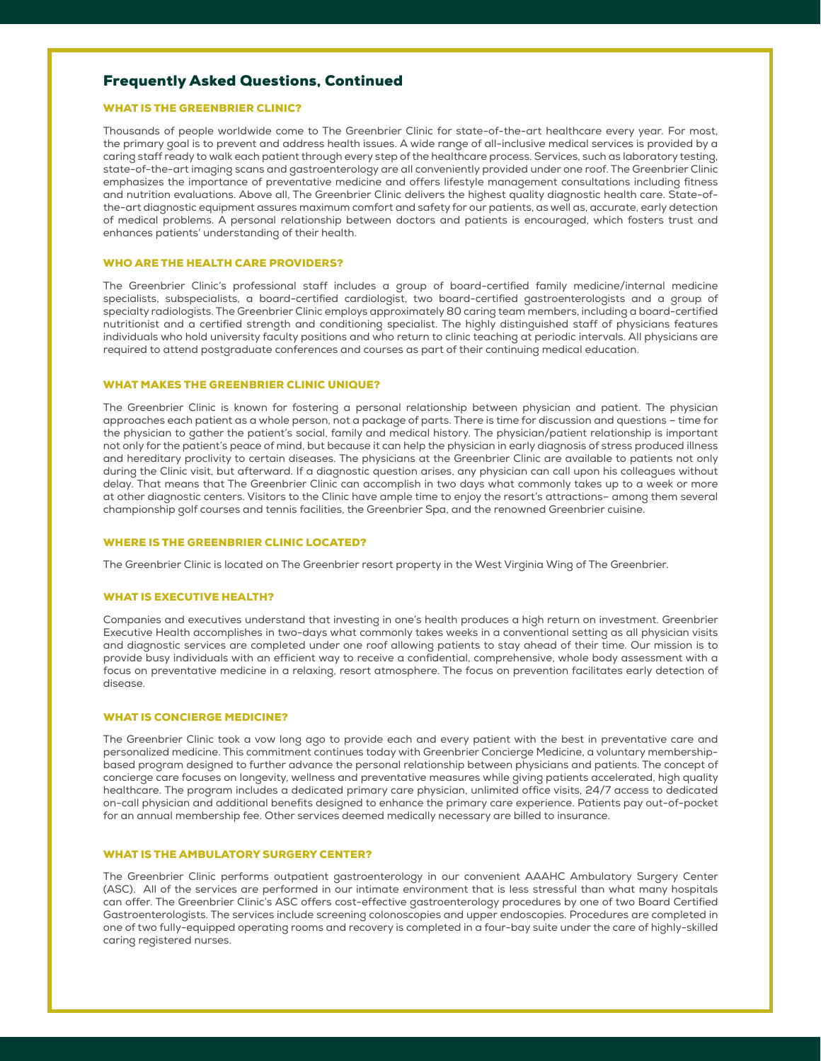# Frequently Asked Questions, Continued

#### WHAT IS THE GREENBRIER CLINIC?

Thousands of people worldwide come to The Greenbrier Clinic for state-of-the-art healthcare every year. For most, the primary goal is to prevent and address health issues. A wide range of all-inclusive medical services is provided by a caring staff ready to walk each patient through every step of the healthcare process. Services, such as laboratory testing, state-of-the-art imaging scans and gastroenterology are all conveniently provided under one roof. The Greenbrier Clinic emphasizes the importance of preventative medicine and offers lifestyle management consultations including fitness and nutrition evaluations. Above all, The Greenbrier Clinic delivers the highest quality diagnostic health care. State-ofthe-art diagnostic equipment assures maximum comfort and safety for our patients, as well as, accurate, early detection of medical problems. A personal relationship between doctors and patients is encouraged, which fosters trust and enhances patients' understanding of their health.

#### WHO ARE THE HEALTH CARE PROVIDERS?

The Greenbrier Clinic's professional staff includes a group of board-certified family medicine/internal medicine specialists, subspecialists, a board-certified cardiologist, two board-certified gastroenterologists and a group of specialty radiologists. The Greenbrier Clinic employs approximately 80 caring team members, including a board-certified nutritionist and a certified strength and conditioning specialist. The highly distinguished staff of physicians features individuals who hold university faculty positions and who return to clinic teaching at periodic intervals. All physicians are required to attend postgraduate conferences and courses as part of their continuing medical education.

## WHAT MAKES THE GREENBRIER CLINIC UNIQUE?

The Greenbrier Clinic is known for fostering a personal relationship between physician and patient. The physician approaches each patient as a whole person, not a package of parts. There is time for discussion and questions – time for the physician to gather the patient's social, family and medical history. The physician/patient relationship is important not only for the patient's peace of mind, but because it can help the physician in early diagnosis of stress produced illness and hereditary proclivity to certain diseases. The physicians at the Greenbrier Clinic are available to patients not only during the Clinic visit, but afterward. If a diagnostic question arises, any physician can call upon his colleagues without delay. That means that The Greenbrier Clinic can accomplish in two days what commonly takes up to a week or more at other diagnostic centers. Visitors to the Clinic have ample time to enjoy the resort's attractions– among them several championship golf courses and tennis facilities, the Greenbrier Spa, and the renowned Greenbrier cuisine.

#### WHERE IS THE GREENBRIER CLINIC LOCATED?

The Greenbrier Clinic is located on The Greenbrier resort property in the West Virginia Wing of The Greenbrier.

#### WHAT IS EXECUTIVE HEALTH?

Companies and executives understand that investing in one's health produces a high return on investment. Greenbrier Executive Health accomplishes in two-days what commonly takes weeks in a conventional setting as all physician visits and diagnostic services are completed under one roof allowing patients to stay ahead of their time. Our mission is to provide busy individuals with an efficient way to receive a confidential, comprehensive, whole body assessment with a focus on preventative medicine in a relaxing, resort atmosphere. The focus on prevention facilitates early detection of disease.

#### WHAT IS CONCIERGE MEDICINE?

The Greenbrier Clinic took a vow long ago to provide each and every patient with the best in preventative care and personalized medicine. This commitment continues today with Greenbrier Concierge Medicine, a voluntary membershipbased program designed to further advance the personal relationship between physicians and patients. The concept of concierge care focuses on longevity, wellness and preventative measures while giving patients accelerated, high quality healthcare. The program includes a dedicated primary care physician, unlimited office visits, 24/7 access to dedicated on-call physician and additional benefits designed to enhance the primary care experience. Patients pay out-of-pocket for an annual membership fee. Other services deemed medically necessary are billed to insurance.

#### WHAT IS THE AMBULATORY SURGERY CENTER?

The Greenbrier Clinic performs outpatient gastroenterology in our convenient AAAHC Ambulatory Surgery Center (ASC). All of the services are performed in our intimate environment that is less stressful than what many hospitals can offer. The Greenbrier Clinic's ASC offers cost-effective gastroenterology procedures by one of two Board Certified Gastroenterologists. The services include screening colonoscopies and upper endoscopies. Procedures are completed in one of two fully-equipped operating rooms and recovery is completed in a four-bay suite under the care of highly-skilled caring registered nurses.